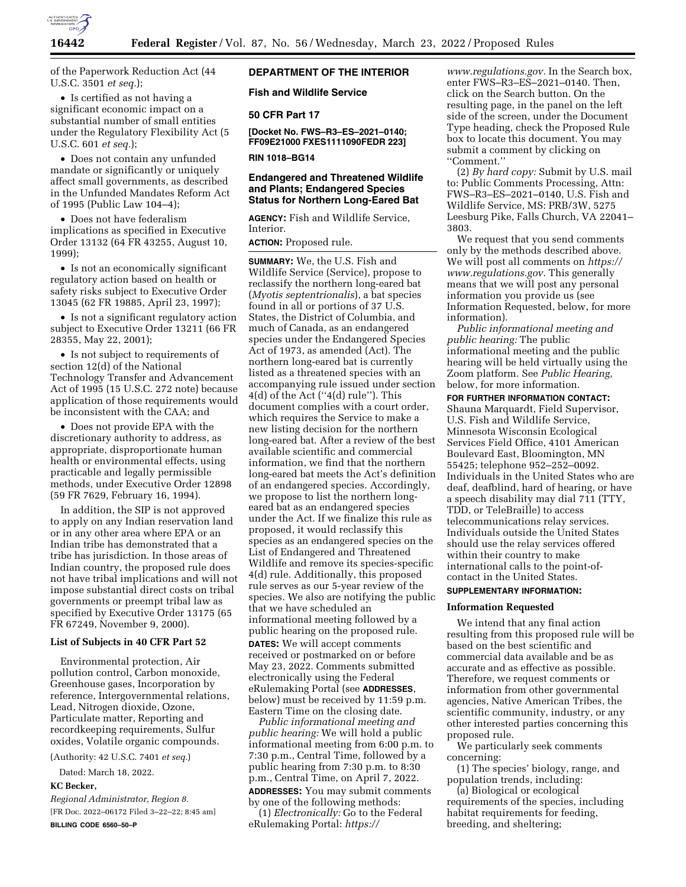

of the Paperwork Reduction Act (44 U.S.C. 3501 *et seq.*);

• Is certified as not having a significant economic impact on a substantial number of small entities under the Regulatory Flexibility Act (5 U.S.C. 601 *et seq.*);

• Does not contain any unfunded mandate or significantly or uniquely affect small governments, as described in the Unfunded Mandates Reform Act of 1995 (Public Law 104–4);

• Does not have federalism implications as specified in Executive Order 13132 (64 FR 43255, August 10, 1999);

• Is not an economically significant regulatory action based on health or safety risks subject to Executive Order 13045 (62 FR 19885, April 23, 1997);

• Is not a significant regulatory action subject to Executive Order 13211 (66 FR 28355, May 22, 2001);

• Is not subject to requirements of section 12(d) of the National Technology Transfer and Advancement Act of 1995 (15 U.S.C. 272 note) because application of those requirements would be inconsistent with the CAA; and

• Does not provide EPA with the discretionary authority to address, as appropriate, disproportionate human health or environmental effects, using practicable and legally permissible methods, under Executive Order 12898 (59 FR 7629, February 16, 1994).

In addition, the SIP is not approved to apply on any Indian reservation land or in any other area where EPA or an Indian tribe has demonstrated that a tribe has jurisdiction. In those areas of Indian country, the proposed rule does not have tribal implications and will not impose substantial direct costs on tribal governments or preempt tribal law as specified by Executive Order 13175 (65 FR 67249, November 9, 2000).

#### **List of Subjects in 40 CFR Part 52**

Environmental protection, Air pollution control, Carbon monoxide, Greenhouse gases, Incorporation by reference, Intergovernmental relations, Lead, Nitrogen dioxide, Ozone, Particulate matter, Reporting and recordkeeping requirements, Sulfur oxides, Volatile organic compounds.

(Authority: 42 U.S.C. 7401 *et seq.*)

Dated: March 18, 2022.

### **KC Becker,**

*Regional Administrator, Region 8.*  [FR Doc. 2022–06172 Filed 3–22–22; 8:45 am] **BILLING CODE 6560–50–P** 

## **DEPARTMENT OF THE INTERIOR**

**Fish and Wildlife Service** 

#### **50 CFR Part 17**

**[Docket No. FWS–R3–ES–2021–0140; FF09E21000 FXES1111090FEDR 223]** 

**RIN 1018–BG14** 

# **Endangered and Threatened Wildlife and Plants; Endangered Species Status for Northern Long-Eared Bat**

**AGENCY:** Fish and Wildlife Service, Interior.

**ACTION:** Proposed rule.

**SUMMARY:** We, the U.S. Fish and Wildlife Service (Service), propose to reclassify the northern long-eared bat (*Myotis septentrionalis*), a bat species found in all or portions of 37 U.S. States, the District of Columbia, and much of Canada, as an endangered species under the Endangered Species Act of 1973, as amended (Act). The northern long-eared bat is currently listed as a threatened species with an accompanying rule issued under section  $4(d)$  of the Act (" $4(d)$  rule"). This document complies with a court order, which requires the Service to make a new listing decision for the northern long-eared bat. After a review of the best available scientific and commercial information, we find that the northern long-eared bat meets the Act's definition of an endangered species. Accordingly, we propose to list the northern longeared bat as an endangered species under the Act. If we finalize this rule as proposed, it would reclassify this species as an endangered species on the List of Endangered and Threatened Wildlife and remove its species-specific 4(d) rule. Additionally, this proposed rule serves as our 5-year review of the species. We also are notifying the public that we have scheduled an informational meeting followed by a public hearing on the proposed rule. **DATES:** We will accept comments received or postmarked on or before May 23, 2022. Comments submitted electronically using the Federal eRulemaking Portal (see **ADDRESSES**, below) must be received by 11:59 p.m. Eastern Time on the closing date.

*Public informational meeting and public hearing:* We will hold a public informational meeting from 6:00 p.m. to 7:30 p.m., Central Time, followed by a public hearing from 7:30 p.m. to 8:30 p.m., Central Time, on April 7, 2022.

**ADDRESSES:** You may submit comments by one of the following methods:

(1) *Electronically:* Go to the Federal eRulemaking Portal: *[https://](https://www.regulations.gov)*

*[www.regulations.gov.](https://www.regulations.gov)* In the Search box, enter FWS–R3–ES–2021–0140. Then, click on the Search button. On the resulting page, in the panel on the left side of the screen, under the Document Type heading, check the Proposed Rule box to locate this document. You may submit a comment by clicking on ''Comment.''

(2) *By hard copy:* Submit by U.S. mail to: Public Comments Processing, Attn: FWS–R3–ES–2021–0140, U.S. Fish and Wildlife Service, MS: PRB/3W, 5275 Leesburg Pike, Falls Church, VA 22041– 3803.

We request that you send comments only by the methods described above. We will post all comments on *[https://](https://www.regulations.gov) [www.regulations.gov.](https://www.regulations.gov)* This generally means that we will post any personal information you provide us (see Information Requested, below, for more information).

*Public informational meeting and public hearing:* The public informational meeting and the public hearing will be held virtually using the Zoom platform. See *Public Hearing,*  below, for more information.

**FOR FURTHER INFORMATION CONTACT:** 

Shauna Marquardt, Field Supervisor, U.S. Fish and Wildlife Service, Minnesota Wisconsin Ecological Services Field Office, 4101 American Boulevard East, Bloomington, MN 55425; telephone 952–252–0092. Individuals in the United States who are deaf, deafblind, hard of hearing, or have a speech disability may dial 711 (TTY, TDD, or TeleBraille) to access telecommunications relay services. Individuals outside the United States should use the relay services offered within their country to make international calls to the point-ofcontact in the United States.

#### **SUPPLEMENTARY INFORMATION:**

### **Information Requested**

We intend that any final action resulting from this proposed rule will be based on the best scientific and commercial data available and be as accurate and as effective as possible. Therefore, we request comments or information from other governmental agencies, Native American Tribes, the scientific community, industry, or any other interested parties concerning this proposed rule.

We particularly seek comments concerning:

(1) The species' biology, range, and population trends, including:

(a) Biological or ecological requirements of the species, including habitat requirements for feeding, breeding, and sheltering;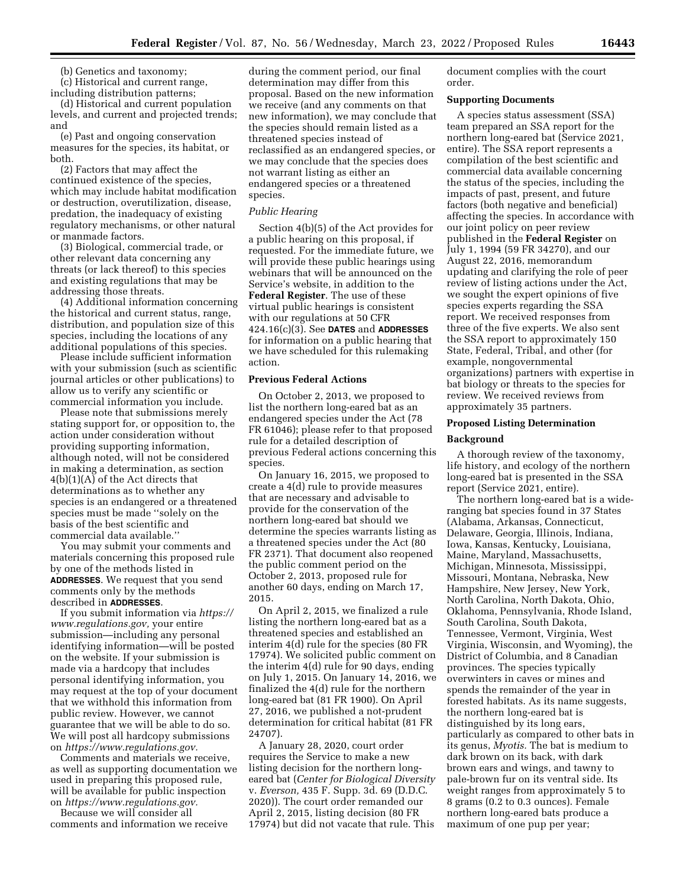(b) Genetics and taxonomy;

(c) Historical and current range, including distribution patterns;

(d) Historical and current population levels, and current and projected trends; and

(e) Past and ongoing conservation measures for the species, its habitat, or both.

(2) Factors that may affect the continued existence of the species, which may include habitat modification or destruction, overutilization, disease, predation, the inadequacy of existing regulatory mechanisms, or other natural or manmade factors.

(3) Biological, commercial trade, or other relevant data concerning any threats (or lack thereof) to this species and existing regulations that may be addressing those threats.

(4) Additional information concerning the historical and current status, range, distribution, and population size of this species, including the locations of any additional populations of this species.

Please include sufficient information with your submission (such as scientific journal articles or other publications) to allow us to verify any scientific or commercial information you include.

Please note that submissions merely stating support for, or opposition to, the action under consideration without providing supporting information, although noted, will not be considered in making a determination, as section 4(b)(1)(A) of the Act directs that determinations as to whether any species is an endangered or a threatened species must be made ''solely on the basis of the best scientific and commercial data available.''

You may submit your comments and materials concerning this proposed rule by one of the methods listed in **ADDRESSES**. We request that you send comments only by the methods described in **ADDRESSES**.

If you submit information via *[https://](https://www.regulations.gov) [www.regulations.gov,](https://www.regulations.gov)* your entire submission—including any personal identifying information—will be posted on the website. If your submission is made via a hardcopy that includes personal identifying information, you may request at the top of your document that we withhold this information from public review. However, we cannot guarantee that we will be able to do so. We will post all hardcopy submissions on *[https://www.regulations.gov.](https://www.regulations.gov)* 

Comments and materials we receive, as well as supporting documentation we used in preparing this proposed rule, will be available for public inspection on *[https://www.regulations.gov.](https://www.regulations.gov)* 

Because we will consider all comments and information we receive

during the comment period, our final determination may differ from this proposal. Based on the new information we receive (and any comments on that new information), we may conclude that the species should remain listed as a threatened species instead of reclassified as an endangered species, or we may conclude that the species does not warrant listing as either an endangered species or a threatened species.

#### *Public Hearing*

Section 4(b)(5) of the Act provides for a public hearing on this proposal, if requested. For the immediate future, we will provide these public hearings using webinars that will be announced on the Service's website, in addition to the **Federal Register**. The use of these virtual public hearings is consistent with our regulations at 50 CFR 424.16(c)(3). See **DATES** and **ADDRESSES** for information on a public hearing that we have scheduled for this rulemaking action.

### **Previous Federal Actions**

On October 2, 2013, we proposed to list the northern long-eared bat as an endangered species under the Act (78 FR 61046); please refer to that proposed rule for a detailed description of previous Federal actions concerning this species.

On January 16, 2015, we proposed to create a 4(d) rule to provide measures that are necessary and advisable to provide for the conservation of the northern long-eared bat should we determine the species warrants listing as a threatened species under the Act (80 FR 2371). That document also reopened the public comment period on the October 2, 2013, proposed rule for another 60 days, ending on March 17, 2015.

On April 2, 2015, we finalized a rule listing the northern long-eared bat as a threatened species and established an interim 4(d) rule for the species (80 FR 17974). We solicited public comment on the interim 4(d) rule for 90 days, ending on July 1, 2015. On January 14, 2016, we finalized the 4(d) rule for the northern long-eared bat (81 FR 1900). On April 27, 2016, we published a not-prudent determination for critical habitat (81 FR 24707).

A January 28, 2020, court order requires the Service to make a new listing decision for the northern longeared bat (*Center for Biological Diversity*  v. *Everson,* 435 F. Supp. 3d. 69 (D.D.C. 2020)). The court order remanded our April 2, 2015, listing decision (80 FR 17974) but did not vacate that rule. This

document complies with the court order.

### **Supporting Documents**

A species status assessment (SSA) team prepared an SSA report for the northern long-eared bat (Service 2021, entire). The SSA report represents a compilation of the best scientific and commercial data available concerning the status of the species, including the impacts of past, present, and future factors (both negative and beneficial) affecting the species. In accordance with our joint policy on peer review published in the **Federal Register** on July 1, 1994 (59 FR 34270), and our August 22, 2016, memorandum updating and clarifying the role of peer review of listing actions under the Act, we sought the expert opinions of five species experts regarding the SSA report. We received responses from three of the five experts. We also sent the SSA report to approximately 150 State, Federal, Tribal, and other (for example, nongovernmental organizations) partners with expertise in bat biology or threats to the species for review. We received reviews from approximately 35 partners.

# **Proposed Listing Determination**

### **Background**

A thorough review of the taxonomy, life history, and ecology of the northern long-eared bat is presented in the SSA report (Service 2021, entire).

The northern long-eared bat is a wideranging bat species found in 37 States (Alabama, Arkansas, Connecticut, Delaware, Georgia, Illinois, Indiana, Iowa, Kansas, Kentucky, Louisiana, Maine, Maryland, Massachusetts, Michigan, Minnesota, Mississippi, Missouri, Montana, Nebraska, New Hampshire, New Jersey, New York, North Carolina, North Dakota, Ohio, Oklahoma, Pennsylvania, Rhode Island, South Carolina, South Dakota, Tennessee, Vermont, Virginia, West Virginia, Wisconsin, and Wyoming), the District of Columbia, and 8 Canadian provinces. The species typically overwinters in caves or mines and spends the remainder of the year in forested habitats. As its name suggests, the northern long-eared bat is distinguished by its long ears, particularly as compared to other bats in its genus, *Myotis.* The bat is medium to dark brown on its back, with dark brown ears and wings, and tawny to pale-brown fur on its ventral side. Its weight ranges from approximately 5 to 8 grams (0.2 to 0.3 ounces). Female northern long-eared bats produce a maximum of one pup per year;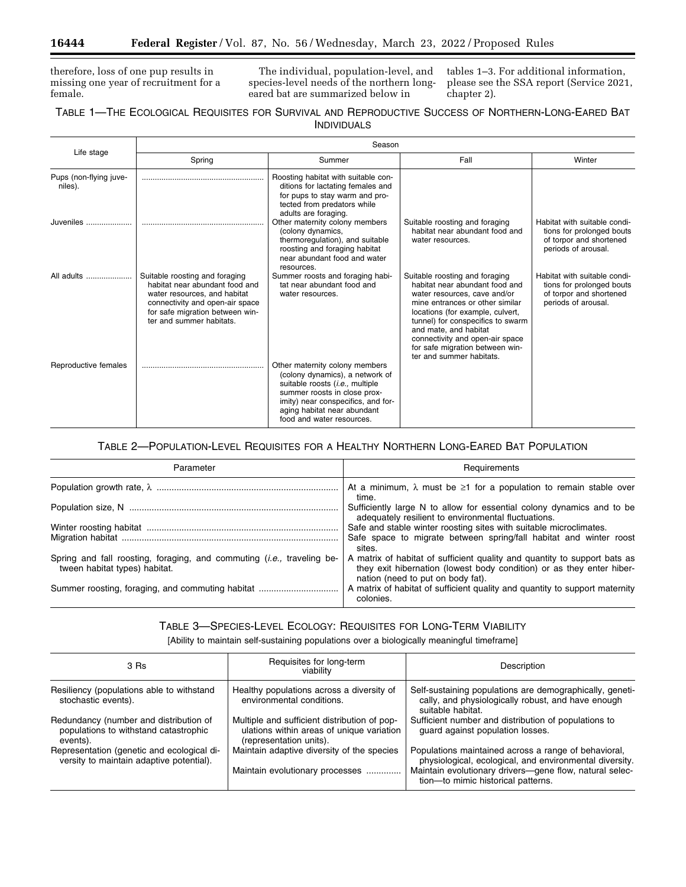=

therefore, loss of one pup results in missing one year of recruitment for a female.

The individual, population-level, and species-level needs of the northern longeared bat are summarized below in

tables 1–3. For additional information, please see the SSA report (Service 2021, chapter 2).

# TABLE 1—THE ECOLOGICAL REQUISITES FOR SURVIVAL AND REPRODUCTIVE SUCCESS OF NORTHERN-LONG-EARED BAT INDIVIDUALS

| Life stage                        | Season                                                                                                                                                                                             |                                                                                                                                                                                                                                                 |                                                                                                                                                                                                                                                                                                                                         |                                                                                                             |  |  |
|-----------------------------------|----------------------------------------------------------------------------------------------------------------------------------------------------------------------------------------------------|-------------------------------------------------------------------------------------------------------------------------------------------------------------------------------------------------------------------------------------------------|-----------------------------------------------------------------------------------------------------------------------------------------------------------------------------------------------------------------------------------------------------------------------------------------------------------------------------------------|-------------------------------------------------------------------------------------------------------------|--|--|
|                                   | Spring                                                                                                                                                                                             | Summer                                                                                                                                                                                                                                          | Fall                                                                                                                                                                                                                                                                                                                                    | Winter                                                                                                      |  |  |
| Pups (non-flying juve-<br>niles). |                                                                                                                                                                                                    | Roosting habitat with suitable con-<br>ditions for lactating females and<br>for pups to stay warm and pro-<br>tected from predators while<br>adults are foraging.                                                                               |                                                                                                                                                                                                                                                                                                                                         |                                                                                                             |  |  |
| Juveniles                         |                                                                                                                                                                                                    | Other maternity colony members<br>(colony dynamics,<br>thermoregulation), and suitable<br>roosting and foraging habitat<br>near abundant food and water<br>resources.                                                                           | Suitable roosting and foraging<br>habitat near abundant food and<br>water resources.                                                                                                                                                                                                                                                    | Habitat with suitable condi-<br>tions for prolonged bouts<br>of torpor and shortened<br>periods of arousal. |  |  |
| All adults                        | Suitable roosting and foraging<br>habitat near abundant food and<br>water resources, and habitat<br>connectivity and open-air space<br>for safe migration between win-<br>ter and summer habitats. | Summer roosts and foraging habi-<br>tat near abundant food and<br>water resources.                                                                                                                                                              | Suitable roosting and foraging<br>habitat near abundant food and<br>water resources, cave and/or<br>mine entrances or other similar<br>locations (for example, culvert,<br>tunnel) for conspecifics to swarm<br>and mate, and habitat<br>connectivity and open-air space<br>for safe migration between win-<br>ter and summer habitats. | Habitat with suitable condi-<br>tions for prolonged bouts<br>of torpor and shortened<br>periods of arousal. |  |  |
| Reproductive females              |                                                                                                                                                                                                    | Other maternity colony members<br>(colony dynamics), a network of<br>suitable roosts ( <i>i.e.</i> , multiple<br>summer roosts in close prox-<br>imity) near conspecifics, and for-<br>aging habitat near abundant<br>food and water resources. |                                                                                                                                                                                                                                                                                                                                         |                                                                                                             |  |  |

TABLE 2—POPULATION-LEVEL REQUISITES FOR A HEALTHY NORTHERN LONG-EARED BAT POPULATION

| Parameter                                                                                                      | Requirements                                                                                                                                                                            |
|----------------------------------------------------------------------------------------------------------------|-----------------------------------------------------------------------------------------------------------------------------------------------------------------------------------------|
|                                                                                                                | At a minimum, $\lambda$ must be $\geq 1$ for a population to remain stable over<br>time.                                                                                                |
|                                                                                                                | Sufficiently large N to allow for essential colony dynamics and to be<br>adequately resilient to environmental fluctuations.                                                            |
|                                                                                                                | Safe and stable winter roosting sites with suitable microclimates.                                                                                                                      |
|                                                                                                                | Safe space to migrate between spring/fall habitat and winter roost<br>sites.                                                                                                            |
| Spring and fall roosting, foraging, and commuting <i>(i.e., traveling be-</i><br>tween habitat types) habitat. | A matrix of habitat of sufficient quality and quantity to support bats as<br>they exit hibernation (lowest body condition) or as they enter hiber-<br>nation (need to put on body fat). |
| Summer roosting, foraging, and commuting habitat                                                               | A matrix of habitat of sufficient quality and quantity to support maternity<br>colonies.                                                                                                |

TABLE 3—SPECIES-LEVEL ECOLOGY: REQUISITES FOR LONG-TERM VIABILITY

[Ability to maintain self-sustaining populations over a biologically meaningful timeframe]

| 3 Rs                                                                                        | Requisites for long-term<br>viability                                                                                | Description                                                                                                                                                                                                      |  |  |
|---------------------------------------------------------------------------------------------|----------------------------------------------------------------------------------------------------------------------|------------------------------------------------------------------------------------------------------------------------------------------------------------------------------------------------------------------|--|--|
| Resiliency (populations able to withstand<br>stochastic events).                            | Healthy populations across a diversity of<br>environmental conditions.                                               | Self-sustaining populations are demographically, geneti-<br>cally, and physiologically robust, and have enough<br>suitable habitat.                                                                              |  |  |
| Redundancy (number and distribution of<br>populations to withstand catastrophic<br>events). | Multiple and sufficient distribution of pop-<br>ulations within areas of unique variation<br>(representation units). | Sufficient number and distribution of populations to<br>quard against population losses.                                                                                                                         |  |  |
| Representation (genetic and ecological di-<br>versity to maintain adaptive potential).      | Maintain adaptive diversity of the species<br>Maintain evolutionary processes                                        | Populations maintained across a range of behavioral,<br>physiological, ecological, and environmental diversity.<br>Maintain evolutionary drivers-gene flow, natural selec-<br>tion-to mimic historical patterns. |  |  |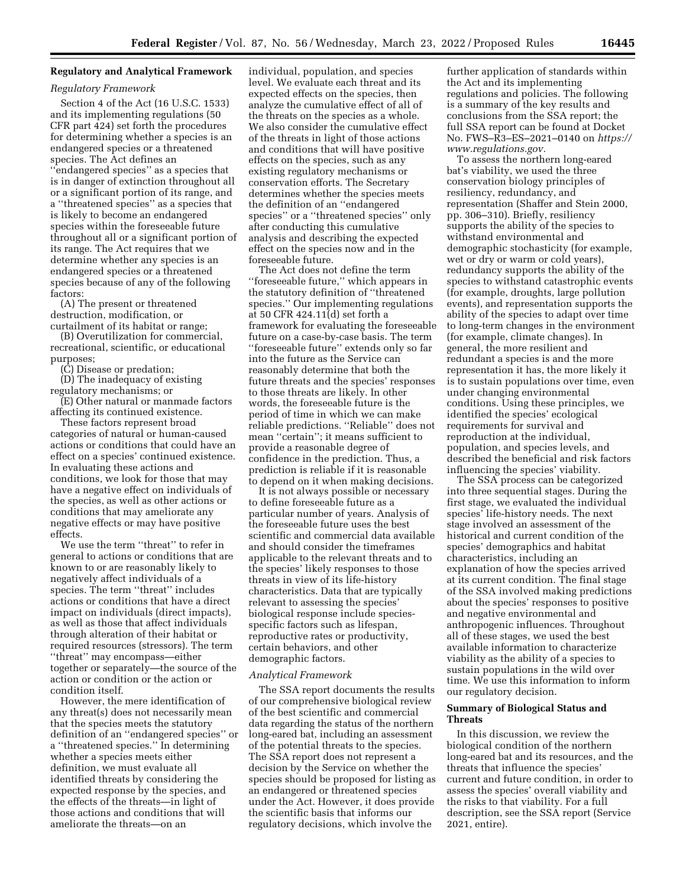# **Regulatory and Analytical Framework**

# *Regulatory Framework*

Section 4 of the Act (16 U.S.C. 1533) and its implementing regulations (50 CFR part 424) set forth the procedures for determining whether a species is an endangered species or a threatened species. The Act defines an ''endangered species'' as a species that is in danger of extinction throughout all or a significant portion of its range, and a ''threatened species'' as a species that is likely to become an endangered species within the foreseeable future throughout all or a significant portion of its range. The Act requires that we determine whether any species is an endangered species or a threatened species because of any of the following factors:

(A) The present or threatened destruction, modification, or curtailment of its habitat or range;

(B) Overutilization for commercial, recreational, scientific, or educational purposes;

(C) Disease or predation;

(D) The inadequacy of existing regulatory mechanisms; or

(E) Other natural or manmade factors affecting its continued existence.

These factors represent broad categories of natural or human-caused actions or conditions that could have an effect on a species' continued existence. In evaluating these actions and conditions, we look for those that may have a negative effect on individuals of the species, as well as other actions or conditions that may ameliorate any negative effects or may have positive effects.

We use the term ''threat'' to refer in general to actions or conditions that are known to or are reasonably likely to negatively affect individuals of a species. The term ''threat'' includes actions or conditions that have a direct impact on individuals (direct impacts), as well as those that affect individuals through alteration of their habitat or required resources (stressors). The term ''threat'' may encompass—either together or separately—the source of the action or condition or the action or condition itself.

However, the mere identification of any threat(s) does not necessarily mean that the species meets the statutory definition of an ''endangered species'' or a ''threatened species.'' In determining whether a species meets either definition, we must evaluate all identified threats by considering the expected response by the species, and the effects of the threats—in light of those actions and conditions that will ameliorate the threats—on an

individual, population, and species level. We evaluate each threat and its expected effects on the species, then analyze the cumulative effect of all of the threats on the species as a whole. We also consider the cumulative effect of the threats in light of those actions and conditions that will have positive effects on the species, such as any existing regulatory mechanisms or conservation efforts. The Secretary determines whether the species meets the definition of an ''endangered species'' or a ''threatened species'' only after conducting this cumulative analysis and describing the expected effect on the species now and in the foreseeable future.

The Act does not define the term ''foreseeable future,'' which appears in the statutory definition of ''threatened species.'' Our implementing regulations at 50 CFR 424.11(d) set forth a framework for evaluating the foreseeable future on a case-by-case basis. The term ''foreseeable future'' extends only so far into the future as the Service can reasonably determine that both the future threats and the species' responses to those threats are likely. In other words, the foreseeable future is the period of time in which we can make reliable predictions. ''Reliable'' does not mean ''certain''; it means sufficient to provide a reasonable degree of confidence in the prediction. Thus, a prediction is reliable if it is reasonable to depend on it when making decisions.

It is not always possible or necessary to define foreseeable future as a particular number of years. Analysis of the foreseeable future uses the best scientific and commercial data available and should consider the timeframes applicable to the relevant threats and to the species' likely responses to those threats in view of its life-history characteristics. Data that are typically relevant to assessing the species' biological response include speciesspecific factors such as lifespan, reproductive rates or productivity, certain behaviors, and other demographic factors.

#### *Analytical Framework*

The SSA report documents the results of our comprehensive biological review of the best scientific and commercial data regarding the status of the northern long-eared bat, including an assessment of the potential threats to the species. The SSA report does not represent a decision by the Service on whether the species should be proposed for listing as an endangered or threatened species under the Act. However, it does provide the scientific basis that informs our regulatory decisions, which involve the

further application of standards within the Act and its implementing regulations and policies. The following is a summary of the key results and conclusions from the SSA report; the full SSA report can be found at Docket No. FWS–R3–ES–2021–0140 on *[https://](https://www.regulations.gov)  [www.regulations.gov.](https://www.regulations.gov)* 

To assess the northern long-eared bat's viability, we used the three conservation biology principles of resiliency, redundancy, and representation (Shaffer and Stein 2000, pp. 306–310). Briefly, resiliency supports the ability of the species to withstand environmental and demographic stochasticity (for example, wet or dry or warm or cold years), redundancy supports the ability of the species to withstand catastrophic events (for example, droughts, large pollution events), and representation supports the ability of the species to adapt over time to long-term changes in the environment (for example, climate changes). In general, the more resilient and redundant a species is and the more representation it has, the more likely it is to sustain populations over time, even under changing environmental conditions. Using these principles, we identified the species' ecological requirements for survival and reproduction at the individual, population, and species levels, and described the beneficial and risk factors influencing the species' viability.

The SSA process can be categorized into three sequential stages. During the first stage, we evaluated the individual species' life-history needs. The next stage involved an assessment of the historical and current condition of the species' demographics and habitat characteristics, including an explanation of how the species arrived at its current condition. The final stage of the SSA involved making predictions about the species' responses to positive and negative environmental and anthropogenic influences. Throughout all of these stages, we used the best available information to characterize viability as the ability of a species to sustain populations in the wild over time. We use this information to inform our regulatory decision.

## **Summary of Biological Status and Threats**

In this discussion, we review the biological condition of the northern long-eared bat and its resources, and the threats that influence the species' current and future condition, in order to assess the species' overall viability and the risks to that viability. For a full description, see the SSA report (Service 2021, entire).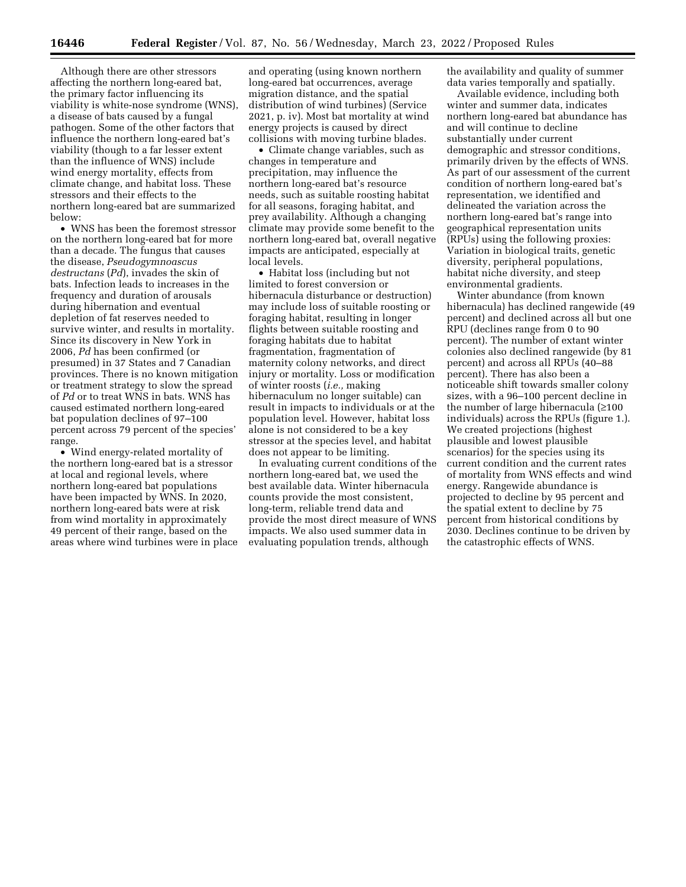Although there are other stressors affecting the northern long-eared bat, the primary factor influencing its viability is white-nose syndrome (WNS), a disease of bats caused by a fungal pathogen. Some of the other factors that influence the northern long-eared bat's viability (though to a far lesser extent than the influence of WNS) include wind energy mortality, effects from climate change, and habitat loss. These stressors and their effects to the northern long-eared bat are summarized below:

• WNS has been the foremost stressor on the northern long-eared bat for more than a decade. The fungus that causes the disease, *Pseudogymnoascus destructans* (*Pd*), invades the skin of bats. Infection leads to increases in the frequency and duration of arousals during hibernation and eventual depletion of fat reserves needed to survive winter, and results in mortality. Since its discovery in New York in 2006, *Pd* has been confirmed (or presumed) in 37 States and 7 Canadian provinces. There is no known mitigation or treatment strategy to slow the spread of *Pd* or to treat WNS in bats. WNS has caused estimated northern long-eared bat population declines of 97–100 percent across 79 percent of the species' range.

• Wind energy-related mortality of the northern long-eared bat is a stressor at local and regional levels, where northern long-eared bat populations have been impacted by WNS. In 2020, northern long-eared bats were at risk from wind mortality in approximately 49 percent of their range, based on the areas where wind turbines were in place and operating (using known northern long-eared bat occurrences, average migration distance, and the spatial distribution of wind turbines) (Service 2021, p. iv). Most bat mortality at wind energy projects is caused by direct collisions with moving turbine blades.

• Climate change variables, such as changes in temperature and precipitation, may influence the northern long-eared bat's resource needs, such as suitable roosting habitat for all seasons, foraging habitat, and prey availability. Although a changing climate may provide some benefit to the northern long-eared bat, overall negative impacts are anticipated, especially at local levels.

• Habitat loss (including but not limited to forest conversion or hibernacula disturbance or destruction) may include loss of suitable roosting or foraging habitat, resulting in longer flights between suitable roosting and foraging habitats due to habitat fragmentation, fragmentation of maternity colony networks, and direct injury or mortality. Loss or modification of winter roosts (*i.e.,* making hibernaculum no longer suitable) can result in impacts to individuals or at the population level. However, habitat loss alone is not considered to be a key stressor at the species level, and habitat does not appear to be limiting.

In evaluating current conditions of the northern long-eared bat, we used the best available data. Winter hibernacula counts provide the most consistent, long-term, reliable trend data and provide the most direct measure of WNS impacts. We also used summer data in evaluating population trends, although

the availability and quality of summer data varies temporally and spatially.

Available evidence, including both winter and summer data, indicates northern long-eared bat abundance has and will continue to decline substantially under current demographic and stressor conditions, primarily driven by the effects of WNS. As part of our assessment of the current condition of northern long-eared bat's representation, we identified and delineated the variation across the northern long-eared bat's range into geographical representation units (RPUs) using the following proxies: Variation in biological traits, genetic diversity, peripheral populations, habitat niche diversity, and steep environmental gradients.

Winter abundance (from known hibernacula) has declined rangewide (49 percent) and declined across all but one RPU (declines range from 0 to 90 percent). The number of extant winter colonies also declined rangewide (by 81 percent) and across all RPUs (40–88 percent). There has also been a noticeable shift towards smaller colony sizes, with a 96–100 percent decline in the number of large hibernacula (≥100 individuals) across the RPUs (figure 1.). We created projections (highest plausible and lowest plausible scenarios) for the species using its current condition and the current rates of mortality from WNS effects and wind energy. Rangewide abundance is projected to decline by 95 percent and the spatial extent to decline by 75 percent from historical conditions by 2030. Declines continue to be driven by the catastrophic effects of WNS.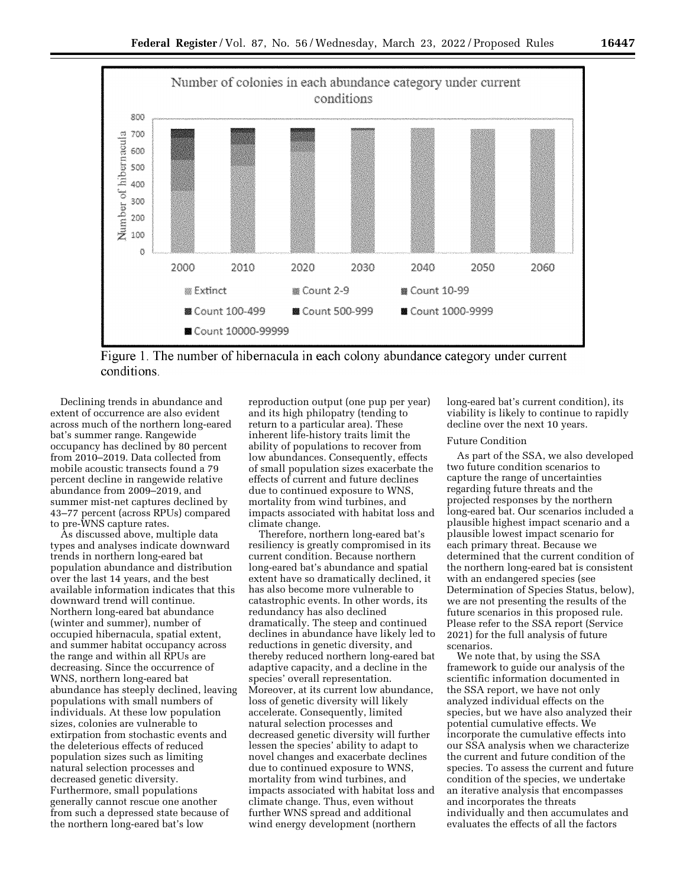

Figure 1. The number of hibernacula in each colony abundance category under current conditions.

Declining trends in abundance and extent of occurrence are also evident across much of the northern long-eared bat's summer range. Rangewide occupancy has declined by 80 percent from 2010–2019. Data collected from mobile acoustic transects found a 79 percent decline in rangewide relative abundance from 2009–2019, and summer mist-net captures declined by 43–77 percent (across RPUs) compared to pre-WNS capture rates.

As discussed above, multiple data types and analyses indicate downward trends in northern long-eared bat population abundance and distribution over the last 14 years, and the best available information indicates that this downward trend will continue. Northern long-eared bat abundance (winter and summer), number of occupied hibernacula, spatial extent, and summer habitat occupancy across the range and within all RPUs are decreasing. Since the occurrence of WNS, northern long-eared bat abundance has steeply declined, leaving populations with small numbers of individuals. At these low population sizes, colonies are vulnerable to extirpation from stochastic events and the deleterious effects of reduced population sizes such as limiting natural selection processes and decreased genetic diversity. Furthermore, small populations generally cannot rescue one another from such a depressed state because of the northern long-eared bat's low

reproduction output (one pup per year) and its high philopatry (tending to return to a particular area). These inherent life-history traits limit the ability of populations to recover from low abundances. Consequently, effects of small population sizes exacerbate the effects of current and future declines due to continued exposure to WNS, mortality from wind turbines, and impacts associated with habitat loss and climate change.

Therefore, northern long-eared bat's resiliency is greatly compromised in its current condition. Because northern long-eared bat's abundance and spatial extent have so dramatically declined, it has also become more vulnerable to catastrophic events. In other words, its redundancy has also declined dramatically. The steep and continued declines in abundance have likely led to reductions in genetic diversity, and thereby reduced northern long-eared bat adaptive capacity, and a decline in the species' overall representation. Moreover, at its current low abundance, loss of genetic diversity will likely accelerate. Consequently, limited natural selection processes and decreased genetic diversity will further lessen the species' ability to adapt to novel changes and exacerbate declines due to continued exposure to WNS, mortality from wind turbines, and impacts associated with habitat loss and climate change. Thus, even without further WNS spread and additional wind energy development (northern

long-eared bat's current condition), its viability is likely to continue to rapidly decline over the next 10 years.

#### Future Condition

As part of the SSA, we also developed two future condition scenarios to capture the range of uncertainties regarding future threats and the projected responses by the northern long-eared bat. Our scenarios included a plausible highest impact scenario and a plausible lowest impact scenario for each primary threat. Because we determined that the current condition of the northern long-eared bat is consistent with an endangered species (see Determination of Species Status, below), we are not presenting the results of the future scenarios in this proposed rule. Please refer to the SSA report (Service 2021) for the full analysis of future scenarios.

We note that, by using the SSA framework to guide our analysis of the scientific information documented in the SSA report, we have not only analyzed individual effects on the species, but we have also analyzed their potential cumulative effects. We incorporate the cumulative effects into our SSA analysis when we characterize the current and future condition of the species. To assess the current and future condition of the species, we undertake an iterative analysis that encompasses and incorporates the threats individually and then accumulates and evaluates the effects of all the factors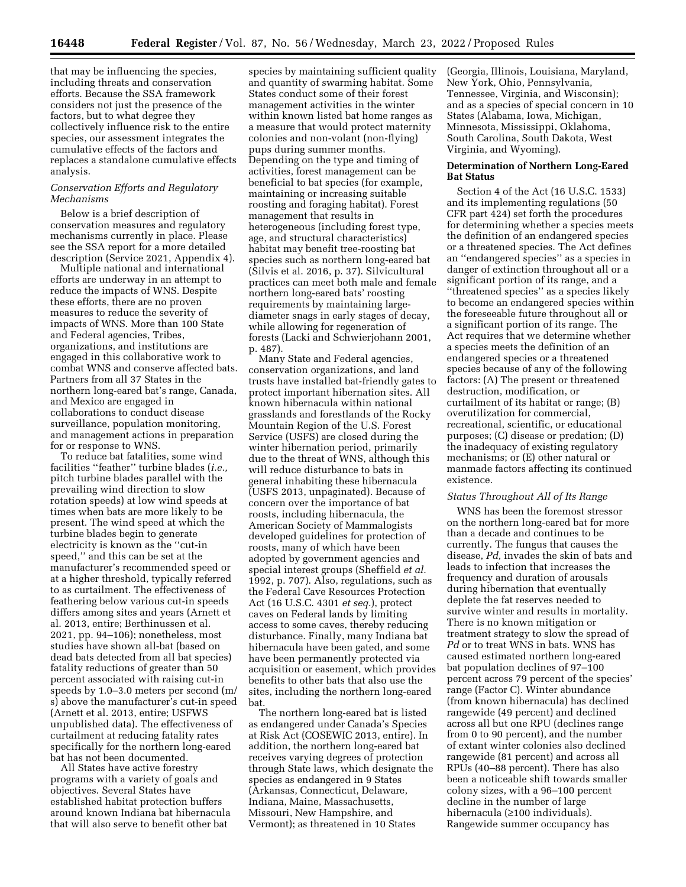that may be influencing the species, including threats and conservation efforts. Because the SSA framework considers not just the presence of the factors, but to what degree they collectively influence risk to the entire species, our assessment integrates the cumulative effects of the factors and replaces a standalone cumulative effects analysis.

#### *Conservation Efforts and Regulatory Mechanisms*

Below is a brief description of conservation measures and regulatory mechanisms currently in place. Please see the SSA report for a more detailed description (Service 2021, Appendix 4).

Multiple national and international efforts are underway in an attempt to reduce the impacts of WNS. Despite these efforts, there are no proven measures to reduce the severity of impacts of WNS. More than 100 State and Federal agencies, Tribes, organizations, and institutions are engaged in this collaborative work to combat WNS and conserve affected bats. Partners from all 37 States in the northern long-eared bat's range, Canada, and Mexico are engaged in collaborations to conduct disease surveillance, population monitoring, and management actions in preparation for or response to WNS.

To reduce bat fatalities, some wind facilities ''feather'' turbine blades (*i.e.,*  pitch turbine blades parallel with the prevailing wind direction to slow rotation speeds) at low wind speeds at times when bats are more likely to be present. The wind speed at which the turbine blades begin to generate electricity is known as the ''cut-in speed,'' and this can be set at the manufacturer's recommended speed or at a higher threshold, typically referred to as curtailment. The effectiveness of feathering below various cut-in speeds differs among sites and years (Arnett et al. 2013, entire; Berthinussen et al. 2021, pp. 94–106); nonetheless, most studies have shown all-bat (based on dead bats detected from all bat species) fatality reductions of greater than 50 percent associated with raising cut-in speeds by 1.0–3.0 meters per second (m/ s) above the manufacturer's cut-in speed (Arnett et al. 2013, entire; USFWS unpublished data). The effectiveness of curtailment at reducing fatality rates specifically for the northern long-eared bat has not been documented.

All States have active forestry programs with a variety of goals and objectives. Several States have established habitat protection buffers around known Indiana bat hibernacula that will also serve to benefit other bat

species by maintaining sufficient quality and quantity of swarming habitat. Some States conduct some of their forest management activities in the winter within known listed bat home ranges as a measure that would protect maternity colonies and non-volant (non-flying) pups during summer months. Depending on the type and timing of activities, forest management can be beneficial to bat species (for example, maintaining or increasing suitable roosting and foraging habitat). Forest management that results in heterogeneous (including forest type, age, and structural characteristics) habitat may benefit tree-roosting bat species such as northern long-eared bat (Silvis et al. 2016, p. 37). Silvicultural practices can meet both male and female northern long-eared bats' roosting requirements by maintaining largediameter snags in early stages of decay, while allowing for regeneration of forests (Lacki and Schwierjohann 2001, p. 487).

Many State and Federal agencies, conservation organizations, and land trusts have installed bat-friendly gates to protect important hibernation sites. All known hibernacula within national grasslands and forestlands of the Rocky Mountain Region of the U.S. Forest Service (USFS) are closed during the winter hibernation period, primarily due to the threat of WNS, although this will reduce disturbance to bats in general inhabiting these hibernacula (USFS 2013, unpaginated). Because of concern over the importance of bat roosts, including hibernacula, the American Society of Mammalogists developed guidelines for protection of roosts, many of which have been adopted by government agencies and special interest groups (Sheffield *et al.*  1992, p. 707). Also, regulations, such as the Federal Cave Resources Protection Act (16 U.S.C. 4301 *et seq.*), protect caves on Federal lands by limiting access to some caves, thereby reducing disturbance. Finally, many Indiana bat hibernacula have been gated, and some have been permanently protected via acquisition or easement, which provides benefits to other bats that also use the sites, including the northern long-eared bat.

The northern long-eared bat is listed as endangered under Canada's Species at Risk Act (COSEWIC 2013, entire). In addition, the northern long-eared bat receives varying degrees of protection through State laws, which designate the species as endangered in 9 States (Arkansas, Connecticut, Delaware, Indiana, Maine, Massachusetts, Missouri, New Hampshire, and Vermont); as threatened in 10 States

(Georgia, Illinois, Louisiana, Maryland, New York, Ohio, Pennsylvania, Tennessee, Virginia, and Wisconsin); and as a species of special concern in 10 States (Alabama, Iowa, Michigan, Minnesota, Mississippi, Oklahoma, South Carolina, South Dakota, West Virginia, and Wyoming).

# **Determination of Northern Long-Eared Bat Status**

Section 4 of the Act (16 U.S.C. 1533) and its implementing regulations (50 CFR part 424) set forth the procedures for determining whether a species meets the definition of an endangered species or a threatened species. The Act defines an ''endangered species'' as a species in danger of extinction throughout all or a significant portion of its range, and a ''threatened species'' as a species likely to become an endangered species within the foreseeable future throughout all or a significant portion of its range. The Act requires that we determine whether a species meets the definition of an endangered species or a threatened species because of any of the following factors: (A) The present or threatened destruction, modification, or curtailment of its habitat or range; (B) overutilization for commercial, recreational, scientific, or educational purposes; (C) disease or predation; (D) the inadequacy of existing regulatory mechanisms; or (E) other natural or manmade factors affecting its continued existence.

### *Status Throughout All of Its Range*

WNS has been the foremost stressor on the northern long-eared bat for more than a decade and continues to be currently. The fungus that causes the disease, *Pd,* invades the skin of bats and leads to infection that increases the frequency and duration of arousals during hibernation that eventually deplete the fat reserves needed to survive winter and results in mortality. There is no known mitigation or treatment strategy to slow the spread of *Pd* or to treat WNS in bats. WNS has caused estimated northern long-eared bat population declines of 97–100 percent across 79 percent of the species' range (Factor C). Winter abundance (from known hibernacula) has declined rangewide (49 percent) and declined across all but one RPU (declines range from 0 to 90 percent), and the number of extant winter colonies also declined rangewide (81 percent) and across all RPUs (40–88 percent). There has also been a noticeable shift towards smaller colony sizes, with a 96–100 percent decline in the number of large hibernacula (≥100 individuals). Rangewide summer occupancy has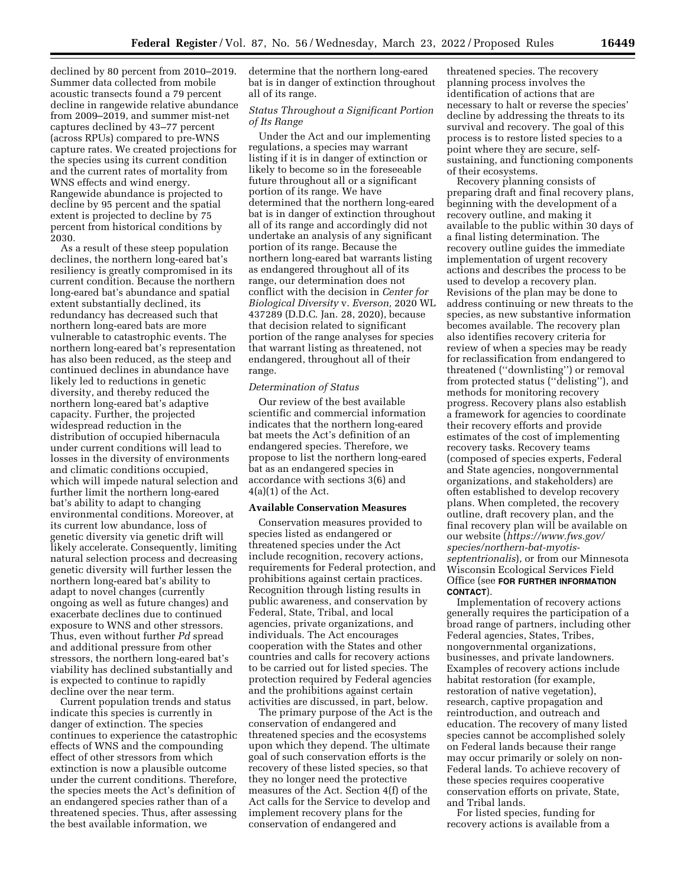declined by 80 percent from 2010–2019. Summer data collected from mobile acoustic transects found a 79 percent decline in rangewide relative abundance from 2009–2019, and summer mist-net captures declined by 43–77 percent (across RPUs) compared to pre-WNS capture rates. We created projections for the species using its current condition and the current rates of mortality from WNS effects and wind energy. Rangewide abundance is projected to decline by 95 percent and the spatial extent is projected to decline by 75 percent from historical conditions by 2030.

As a result of these steep population declines, the northern long-eared bat's resiliency is greatly compromised in its current condition. Because the northern long-eared bat's abundance and spatial extent substantially declined, its redundancy has decreased such that northern long-eared bats are more vulnerable to catastrophic events. The northern long-eared bat's representation has also been reduced, as the steep and continued declines in abundance have likely led to reductions in genetic diversity, and thereby reduced the northern long-eared bat's adaptive capacity. Further, the projected widespread reduction in the distribution of occupied hibernacula under current conditions will lead to losses in the diversity of environments and climatic conditions occupied, which will impede natural selection and further limit the northern long-eared bat's ability to adapt to changing environmental conditions. Moreover, at its current low abundance, loss of genetic diversity via genetic drift will likely accelerate. Consequently, limiting natural selection process and decreasing genetic diversity will further lessen the northern long-eared bat's ability to adapt to novel changes (currently ongoing as well as future changes) and exacerbate declines due to continued exposure to WNS and other stressors. Thus, even without further *Pd* spread and additional pressure from other stressors, the northern long-eared bat's viability has declined substantially and is expected to continue to rapidly decline over the near term.

Current population trends and status indicate this species is currently in danger of extinction. The species continues to experience the catastrophic effects of WNS and the compounding effect of other stressors from which extinction is now a plausible outcome under the current conditions. Therefore, the species meets the Act's definition of an endangered species rather than of a threatened species. Thus, after assessing the best available information, we

determine that the northern long-eared bat is in danger of extinction throughout all of its range.

# *Status Throughout a Significant Portion of Its Range*

Under the Act and our implementing regulations, a species may warrant listing if it is in danger of extinction or likely to become so in the foreseeable future throughout all or a significant portion of its range. We have determined that the northern long-eared bat is in danger of extinction throughout all of its range and accordingly did not undertake an analysis of any significant portion of its range. Because the northern long-eared bat warrants listing as endangered throughout all of its range, our determination does not conflict with the decision in *Center for Biological Diversity* v. *Everson,* 2020 WL 437289 (D.D.C. Jan. 28, 2020), because that decision related to significant portion of the range analyses for species that warrant listing as threatened, not endangered, throughout all of their range.

#### *Determination of Status*

Our review of the best available scientific and commercial information indicates that the northern long-eared bat meets the Act's definition of an endangered species. Therefore, we propose to list the northern long-eared bat as an endangered species in accordance with sections 3(6) and  $4(a)(1)$  of the Act.

## **Available Conservation Measures**

Conservation measures provided to species listed as endangered or threatened species under the Act include recognition, recovery actions, requirements for Federal protection, and prohibitions against certain practices. Recognition through listing results in public awareness, and conservation by Federal, State, Tribal, and local agencies, private organizations, and individuals. The Act encourages cooperation with the States and other countries and calls for recovery actions to be carried out for listed species. The protection required by Federal agencies and the prohibitions against certain activities are discussed, in part, below.

The primary purpose of the Act is the conservation of endangered and threatened species and the ecosystems upon which they depend. The ultimate goal of such conservation efforts is the recovery of these listed species, so that they no longer need the protective measures of the Act. Section 4(f) of the Act calls for the Service to develop and implement recovery plans for the conservation of endangered and

threatened species. The recovery planning process involves the identification of actions that are necessary to halt or reverse the species' decline by addressing the threats to its survival and recovery. The goal of this process is to restore listed species to a point where they are secure, selfsustaining, and functioning components of their ecosystems.

Recovery planning consists of preparing draft and final recovery plans, beginning with the development of a recovery outline, and making it available to the public within 30 days of a final listing determination. The recovery outline guides the immediate implementation of urgent recovery actions and describes the process to be used to develop a recovery plan. Revisions of the plan may be done to address continuing or new threats to the species, as new substantive information becomes available. The recovery plan also identifies recovery criteria for review of when a species may be ready for reclassification from endangered to threatened (''downlisting'') or removal from protected status (''delisting''), and methods for monitoring recovery progress. Recovery plans also establish a framework for agencies to coordinate their recovery efforts and provide estimates of the cost of implementing recovery tasks. Recovery teams (composed of species experts, Federal and State agencies, nongovernmental organizations, and stakeholders) are often established to develop recovery plans. When completed, the recovery outline, draft recovery plan, and the final recovery plan will be available on our website (*[https://www.fws.gov/](https://www.fws.gov/species/northern-bat-myotis-septentrionalis)  [species/northern-bat-myotis](https://www.fws.gov/species/northern-bat-myotis-septentrionalis)[septentrionalis](https://www.fws.gov/species/northern-bat-myotis-septentrionalis)*), or from our Minnesota Wisconsin Ecological Services Field Office (see **FOR FURTHER INFORMATION CONTACT**).

Implementation of recovery actions generally requires the participation of a broad range of partners, including other Federal agencies, States, Tribes, nongovernmental organizations, businesses, and private landowners. Examples of recovery actions include habitat restoration (for example, restoration of native vegetation), research, captive propagation and reintroduction, and outreach and education. The recovery of many listed species cannot be accomplished solely on Federal lands because their range may occur primarily or solely on non-Federal lands. To achieve recovery of these species requires cooperative conservation efforts on private, State, and Tribal lands.

For listed species, funding for recovery actions is available from a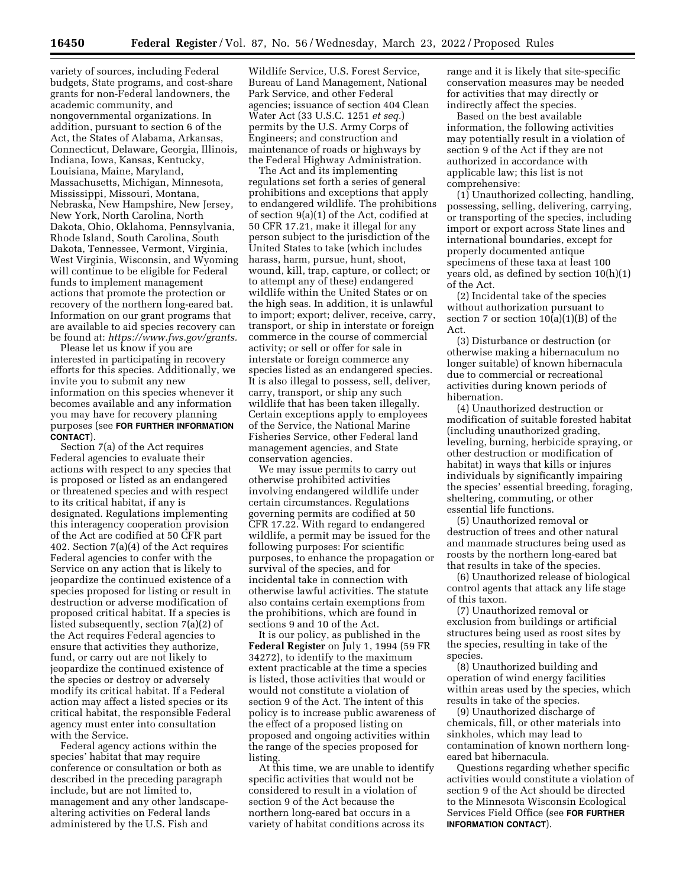variety of sources, including Federal budgets, State programs, and cost-share grants for non-Federal landowners, the academic community, and nongovernmental organizations. In addition, pursuant to section 6 of the Act, the States of Alabama, Arkansas, Connecticut, Delaware, Georgia, Illinois, Indiana, Iowa, Kansas, Kentucky, Louisiana, Maine, Maryland, Massachusetts, Michigan, Minnesota, Mississippi, Missouri, Montana, Nebraska, New Hampshire, New Jersey, New York, North Carolina, North Dakota, Ohio, Oklahoma, Pennsylvania, Rhode Island, South Carolina, South Dakota, Tennessee, Vermont, Virginia, West Virginia, Wisconsin, and Wyoming will continue to be eligible for Federal funds to implement management actions that promote the protection or recovery of the northern long-eared bat. Information on our grant programs that are available to aid species recovery can be found at: *[https://www.fws.gov/grants.](https://www.fws.gov/grants)* 

Please let us know if you are interested in participating in recovery efforts for this species. Additionally, we invite you to submit any new information on this species whenever it becomes available and any information you may have for recovery planning purposes (see **FOR FURTHER INFORMATION CONTACT**).

Section 7(a) of the Act requires Federal agencies to evaluate their actions with respect to any species that is proposed or listed as an endangered or threatened species and with respect to its critical habitat, if any is designated. Regulations implementing this interagency cooperation provision of the Act are codified at 50 CFR part 402. Section 7(a)(4) of the Act requires Federal agencies to confer with the Service on any action that is likely to jeopardize the continued existence of a species proposed for listing or result in destruction or adverse modification of proposed critical habitat. If a species is listed subsequently, section 7(a)(2) of the Act requires Federal agencies to ensure that activities they authorize, fund, or carry out are not likely to jeopardize the continued existence of the species or destroy or adversely modify its critical habitat. If a Federal action may affect a listed species or its critical habitat, the responsible Federal agency must enter into consultation with the Service.

Federal agency actions within the species' habitat that may require conference or consultation or both as described in the preceding paragraph include, but are not limited to, management and any other landscapealtering activities on Federal lands administered by the U.S. Fish and

Wildlife Service, U.S. Forest Service, Bureau of Land Management, National Park Service, and other Federal agencies; issuance of section 404 Clean Water Act (33 U.S.C. 1251 *et seq.*) permits by the U.S. Army Corps of Engineers; and construction and maintenance of roads or highways by the Federal Highway Administration.

The Act and its implementing regulations set forth a series of general prohibitions and exceptions that apply to endangered wildlife. The prohibitions of section 9(a)(1) of the Act, codified at 50 CFR 17.21, make it illegal for any person subject to the jurisdiction of the United States to take (which includes harass, harm, pursue, hunt, shoot, wound, kill, trap, capture, or collect; or to attempt any of these) endangered wildlife within the United States or on the high seas. In addition, it is unlawful to import; export; deliver, receive, carry, transport, or ship in interstate or foreign commerce in the course of commercial activity; or sell or offer for sale in interstate or foreign commerce any species listed as an endangered species. It is also illegal to possess, sell, deliver, carry, transport, or ship any such wildlife that has been taken illegally. Certain exceptions apply to employees of the Service, the National Marine Fisheries Service, other Federal land management agencies, and State conservation agencies.

We may issue permits to carry out otherwise prohibited activities involving endangered wildlife under certain circumstances. Regulations governing permits are codified at 50 CFR 17.22. With regard to endangered wildlife, a permit may be issued for the following purposes: For scientific purposes, to enhance the propagation or survival of the species, and for incidental take in connection with otherwise lawful activities. The statute also contains certain exemptions from the prohibitions, which are found in sections 9 and 10 of the Act.

It is our policy, as published in the **Federal Register** on July 1, 1994 (59 FR 34272), to identify to the maximum extent practicable at the time a species is listed, those activities that would or would not constitute a violation of section 9 of the Act. The intent of this policy is to increase public awareness of the effect of a proposed listing on proposed and ongoing activities within the range of the species proposed for listing.

At this time, we are unable to identify specific activities that would not be considered to result in a violation of section 9 of the Act because the northern long-eared bat occurs in a variety of habitat conditions across its

range and it is likely that site-specific conservation measures may be needed for activities that may directly or indirectly affect the species.

Based on the best available information, the following activities may potentially result in a violation of section 9 of the Act if they are not authorized in accordance with applicable law; this list is not comprehensive:

(1) Unauthorized collecting, handling, possessing, selling, delivering, carrying, or transporting of the species, including import or export across State lines and international boundaries, except for properly documented antique specimens of these taxa at least 100 years old, as defined by section 10(h)(1) of the Act.

(2) Incidental take of the species without authorization pursuant to section 7 or section  $10(a)(1)(B)$  of the Act.

(3) Disturbance or destruction (or otherwise making a hibernaculum no longer suitable) of known hibernacula due to commercial or recreational activities during known periods of hibernation.

(4) Unauthorized destruction or modification of suitable forested habitat (including unauthorized grading, leveling, burning, herbicide spraying, or other destruction or modification of habitat) in ways that kills or injures individuals by significantly impairing the species' essential breeding, foraging, sheltering, commuting, or other essential life functions.

(5) Unauthorized removal or destruction of trees and other natural and manmade structures being used as roosts by the northern long-eared bat that results in take of the species.

(6) Unauthorized release of biological control agents that attack any life stage of this taxon.

(7) Unauthorized removal or exclusion from buildings or artificial structures being used as roost sites by the species, resulting in take of the species.

(8) Unauthorized building and operation of wind energy facilities within areas used by the species, which results in take of the species.

(9) Unauthorized discharge of chemicals, fill, or other materials into sinkholes, which may lead to contamination of known northern longeared bat hibernacula.

Questions regarding whether specific activities would constitute a violation of section 9 of the Act should be directed to the Minnesota Wisconsin Ecological Services Field Office (see **FOR FURTHER INFORMATION CONTACT**).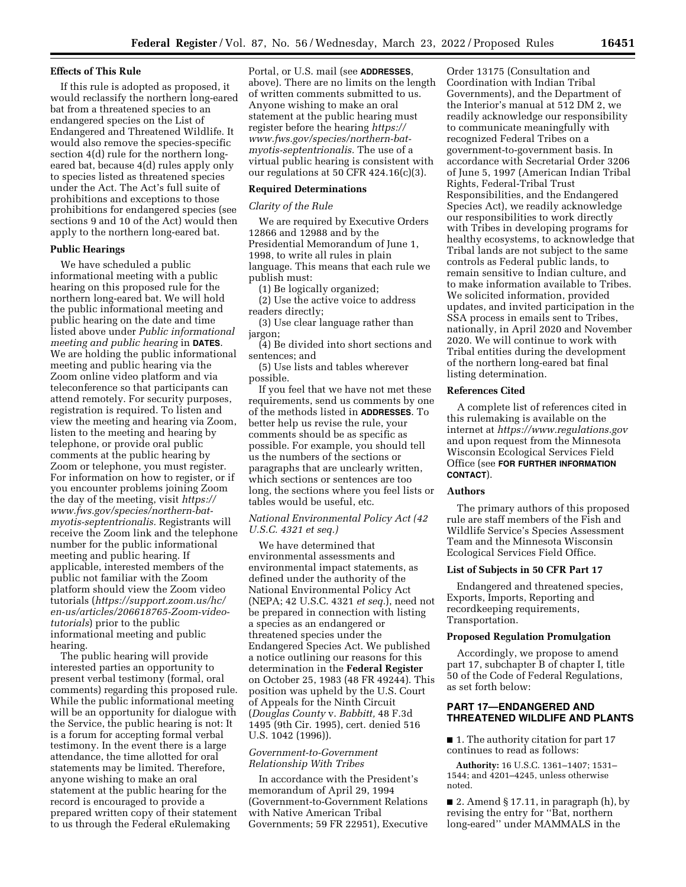### **Effects of This Rule**

If this rule is adopted as proposed, it would reclassify the northern long-eared bat from a threatened species to an endangered species on the List of Endangered and Threatened Wildlife. It would also remove the species-specific section 4(d) rule for the northern longeared bat, because 4(d) rules apply only to species listed as threatened species under the Act. The Act's full suite of prohibitions and exceptions to those prohibitions for endangered species (see sections 9 and 10 of the Act) would then apply to the northern long-eared bat.

#### **Public Hearings**

We have scheduled a public informational meeting with a public hearing on this proposed rule for the northern long-eared bat. We will hold the public informational meeting and public hearing on the date and time listed above under *Public informational meeting and public hearing* in **DATES**. We are holding the public informational meeting and public hearing via the Zoom online video platform and via teleconference so that participants can attend remotely. For security purposes, registration is required. To listen and view the meeting and hearing via Zoom, listen to the meeting and hearing by telephone, or provide oral public comments at the public hearing by Zoom or telephone, you must register. For information on how to register, or if you encounter problems joining Zoom the day of the meeting, visit *[https://](https://www.fws.gov/species/northern-bat-myotis-septentrionalis) [www.fws.gov/species/northern-bat](https://www.fws.gov/species/northern-bat-myotis-septentrionalis)[myotis-septentrionalis.](https://www.fws.gov/species/northern-bat-myotis-septentrionalis)* Registrants will receive the Zoom link and the telephone number for the public informational meeting and public hearing. If applicable, interested members of the public not familiar with the Zoom platform should view the Zoom video tutorials (*[https://support.zoom.us/hc/](https://support.zoom.us/hc/en-us/articles/206618765-Zoom-video-tutorials)  [en-us/articles/206618765-Zoom-video](https://support.zoom.us/hc/en-us/articles/206618765-Zoom-video-tutorials)[tutorials](https://support.zoom.us/hc/en-us/articles/206618765-Zoom-video-tutorials)*) prior to the public informational meeting and public hearing.

The public hearing will provide interested parties an opportunity to present verbal testimony (formal, oral comments) regarding this proposed rule. While the public informational meeting will be an opportunity for dialogue with the Service, the public hearing is not: It is a forum for accepting formal verbal testimony. In the event there is a large attendance, the time allotted for oral statements may be limited. Therefore, anyone wishing to make an oral statement at the public hearing for the record is encouraged to provide a prepared written copy of their statement to us through the Federal eRulemaking

Portal, or U.S. mail (see **ADDRESSES**, above). There are no limits on the length of written comments submitted to us. Anyone wishing to make an oral statement at the public hearing must register before the hearing *[https://](https://www.fws.gov/species/northern-bat-myotis-septentrionalis) [www.fws.gov/species/northern-bat](https://www.fws.gov/species/northern-bat-myotis-septentrionalis)[myotis-septentrionalis.](https://www.fws.gov/species/northern-bat-myotis-septentrionalis)* The use of a virtual public hearing is consistent with our regulations at 50 CFR 424.16(c)(3).

#### **Required Determinations**

#### *Clarity of the Rule*

We are required by Executive Orders 12866 and 12988 and by the Presidential Memorandum of June 1, 1998, to write all rules in plain language. This means that each rule we publish must:

(1) Be logically organized;

(2) Use the active voice to address readers directly;

(3) Use clear language rather than jargon;

(4) Be divided into short sections and sentences; and

(5) Use lists and tables wherever possible.

If you feel that we have not met these requirements, send us comments by one of the methods listed in **ADDRESSES**. To better help us revise the rule, your comments should be as specific as possible. For example, you should tell us the numbers of the sections or paragraphs that are unclearly written, which sections or sentences are too long, the sections where you feel lists or tables would be useful, etc.

## *National Environmental Policy Act (42 U.S.C. 4321 et seq.)*

We have determined that environmental assessments and environmental impact statements, as defined under the authority of the National Environmental Policy Act (NEPA; 42 U.S.C. 4321 *et seq.*), need not be prepared in connection with listing a species as an endangered or threatened species under the Endangered Species Act. We published a notice outlining our reasons for this determination in the **Federal Register**  on October 25, 1983 (48 FR 49244). This position was upheld by the U.S. Court of Appeals for the Ninth Circuit (*Douglas County* v. *Babbitt,* 48 F.3d 1495 (9th Cir. 1995), cert. denied 516 U.S. 1042 (1996)).

### *Government-to-Government Relationship With Tribes*

In accordance with the President's memorandum of April 29, 1994 (Government-to-Government Relations with Native American Tribal Governments; 59 FR 22951), Executive

Order 13175 (Consultation and Coordination with Indian Tribal Governments), and the Department of the Interior's manual at 512 DM 2, we readily acknowledge our responsibility to communicate meaningfully with recognized Federal Tribes on a government-to-government basis. In accordance with Secretarial Order 3206 of June 5, 1997 (American Indian Tribal Rights, Federal-Tribal Trust Responsibilities, and the Endangered Species Act), we readily acknowledge our responsibilities to work directly with Tribes in developing programs for healthy ecosystems, to acknowledge that Tribal lands are not subject to the same controls as Federal public lands, to remain sensitive to Indian culture, and to make information available to Tribes. We solicited information, provided updates, and invited participation in the SSA process in emails sent to Tribes, nationally, in April 2020 and November 2020. We will continue to work with Tribal entities during the development of the northern long-eared bat final listing determination.

#### **References Cited**

A complete list of references cited in this rulemaking is available on the internet at *<https://www.regulations.gov>*  and upon request from the Minnesota Wisconsin Ecological Services Field Office (see **FOR FURTHER INFORMATION CONTACT**).

### **Authors**

The primary authors of this proposed rule are staff members of the Fish and Wildlife Service's Species Assessment Team and the Minnesota Wisconsin Ecological Services Field Office.

#### **List of Subjects in 50 CFR Part 17**

Endangered and threatened species, Exports, Imports, Reporting and recordkeeping requirements, Transportation.

### **Proposed Regulation Promulgation**

Accordingly, we propose to amend part 17, subchapter B of chapter I, title 50 of the Code of Federal Regulations, as set forth below:

## **PART 17—ENDANGERED AND THREATENED WILDLIFE AND PLANTS**

■ 1. The authority citation for part 17 continues to read as follows:

**Authority:** 16 U.S.C. 1361–1407; 1531– 1544; and 4201–4245, unless otherwise noted.

■ 2. Amend § 17.11, in paragraph (h), by revising the entry for ''Bat, northern long-eared'' under MAMMALS in the